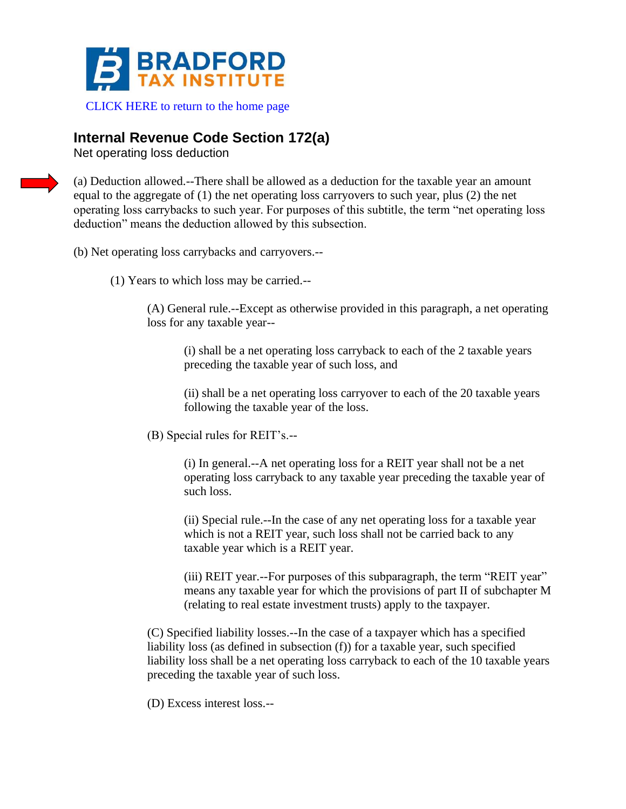

## [CLICK HERE to return to the home page](https://www.bradfordtaxinstitute.com)

## **Internal Revenue Code Section 172(a)**

Net operating loss deduction

(a) Deduction allowed.--There shall be allowed as a deduction for the taxable year an amount equal to the aggregate of (1) the net operating loss carryovers to such year, plus (2) the net operating loss carrybacks to such year. For purposes of this subtitle, the term "net operating loss deduction" means the deduction allowed by this subsection.

- (b) Net operating loss carrybacks and carryovers.--
	- (1) Years to which loss may be carried.--

(A) General rule.--Except as otherwise provided in this paragraph, a net operating loss for any taxable year--

(i) shall be a net operating loss carryback to each of the 2 taxable years preceding the taxable year of such loss, and

(ii) shall be a net operating loss carryover to each of the 20 taxable years following the taxable year of the loss.

(B) Special rules for REIT's.--

(i) In general.--A net operating loss for a REIT year shall not be a net operating loss carryback to any taxable year preceding the taxable year of such loss.

(ii) Special rule.--In the case of any net operating loss for a taxable year which is not a REIT year, such loss shall not be carried back to any taxable year which is a REIT year.

(iii) REIT year.--For purposes of this subparagraph, the term "REIT year" means any taxable year for which the provisions of part II of subchapter M (relating to real estate investment trusts) apply to the taxpayer.

(C) Specified liability losses.--In the case of a taxpayer which has a specified liability loss (as defined in subsection (f)) for a taxable year, such specified liability loss shall be a net operating loss carryback to each of the 10 taxable years preceding the taxable year of such loss.

(D) Excess interest loss.--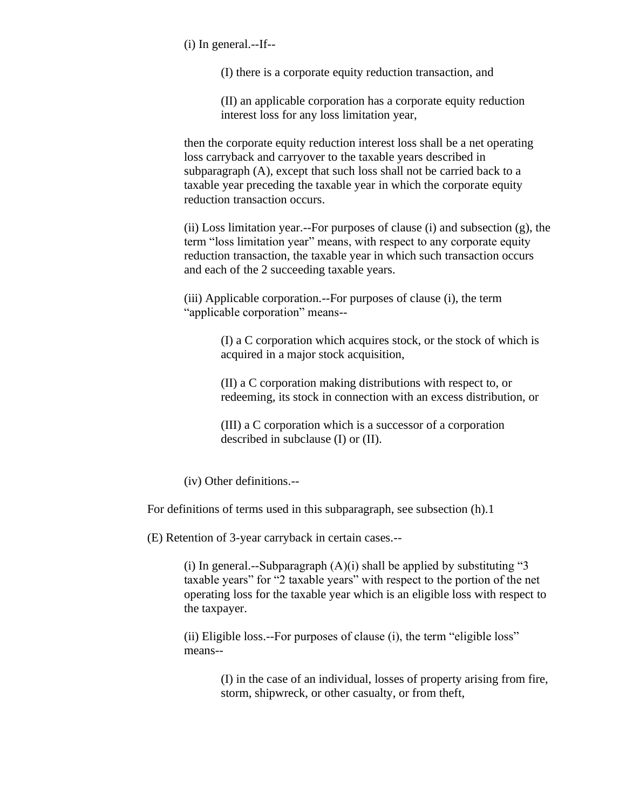(i) In general.--If--

(I) there is a corporate equity reduction transaction, and

(II) an applicable corporation has a corporate equity reduction interest loss for any loss limitation year,

then the corporate equity reduction interest loss shall be a net operating loss carryback and carryover to the taxable years described in subparagraph (A), except that such loss shall not be carried back to a taxable year preceding the taxable year in which the corporate equity reduction transaction occurs.

(ii) Loss limitation year.--For purposes of clause (i) and subsection (g), the term "loss limitation year" means, with respect to any corporate equity reduction transaction, the taxable year in which such transaction occurs and each of the 2 succeeding taxable years.

(iii) Applicable corporation.--For purposes of clause (i), the term "applicable corporation" means--

> (I) a C corporation which acquires stock, or the stock of which is acquired in a major stock acquisition,

> (II) a C corporation making distributions with respect to, or redeeming, its stock in connection with an excess distribution, or

(III) a C corporation which is a successor of a corporation described in subclause (I) or (II).

(iv) Other definitions.--

For definitions of terms used in this subparagraph, see subsection (h).1

(E) Retention of 3-year carryback in certain cases.--

(i) In general.--Subparagraph  $(A)(i)$  shall be applied by substituting "3 taxable years" for "2 taxable years" with respect to the portion of the net operating loss for the taxable year which is an eligible loss with respect to the taxpayer.

(ii) Eligible loss.--For purposes of clause (i), the term "eligible loss" means--

> (I) in the case of an individual, losses of property arising from fire, storm, shipwreck, or other casualty, or from theft,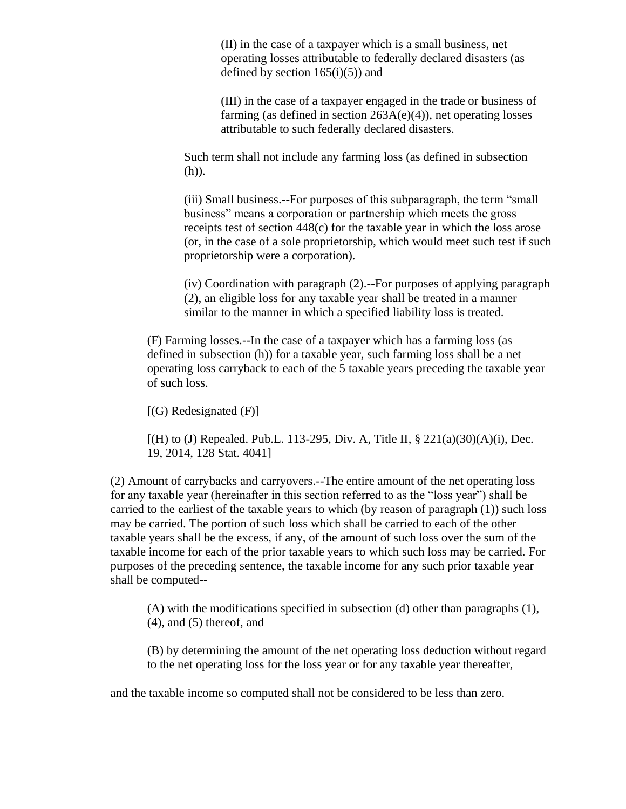(II) in the case of a taxpayer which is a small business, net operating losses attributable to federally declared disasters (as defined by section  $165(i)(5)$  and

(III) in the case of a taxpayer engaged in the trade or business of farming (as defined in section 263A(e)(4)), net operating losses attributable to such federally declared disasters.

Such term shall not include any farming loss (as defined in subsection (h)).

(iii) Small business.--For purposes of this subparagraph, the term "small business" means a corporation or partnership which meets the gross receipts test of section 448(c) for the taxable year in which the loss arose (or, in the case of a sole proprietorship, which would meet such test if such proprietorship were a corporation).

(iv) Coordination with paragraph (2).--For purposes of applying paragraph (2), an eligible loss for any taxable year shall be treated in a manner similar to the manner in which a specified liability loss is treated.

(F) Farming losses.--In the case of a taxpayer which has a farming loss (as defined in subsection (h)) for a taxable year, such farming loss shall be a net operating loss carryback to each of the 5 taxable years preceding the taxable year of such loss.

 $[(G)$  Redesignated  $(F)]$ 

 $[(H)$  to (J) Repealed. Pub.L. 113-295, Div. A, Title II, § 221(a)(30)(A)(i), Dec. 19, 2014, 128 Stat. 4041]

(2) Amount of carrybacks and carryovers.--The entire amount of the net operating loss for any taxable year (hereinafter in this section referred to as the "loss year") shall be carried to the earliest of the taxable years to which (by reason of paragraph (1)) such loss may be carried. The portion of such loss which shall be carried to each of the other taxable years shall be the excess, if any, of the amount of such loss over the sum of the taxable income for each of the prior taxable years to which such loss may be carried. For purposes of the preceding sentence, the taxable income for any such prior taxable year shall be computed--

(A) with the modifications specified in subsection (d) other than paragraphs (1), (4), and (5) thereof, and

(B) by determining the amount of the net operating loss deduction without regard to the net operating loss for the loss year or for any taxable year thereafter,

and the taxable income so computed shall not be considered to be less than zero.